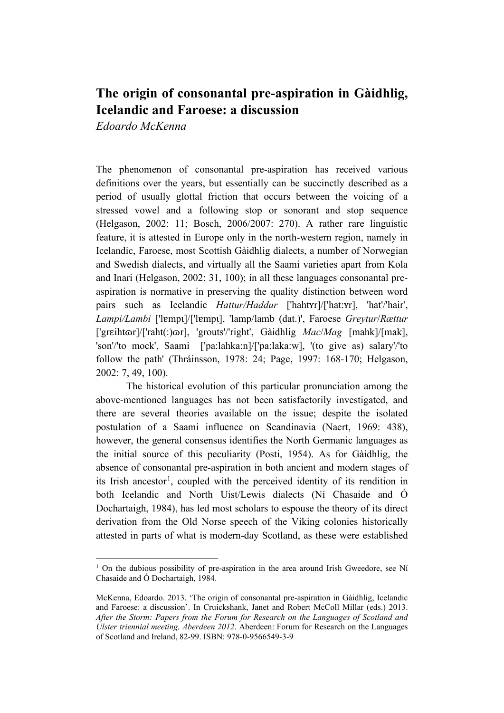## **The origin of consonantal pre-aspiration in Gàidhlig, Icelandic and Faroese: a discussion**

*Edoardo McKenna*

The phenomenon of consonantal pre-aspiration has received various definitions over the years, but essentially can be succinctly described as a period of usually glottal friction that occurs between the voicing of a stressed vowel and a following stop or sonorant and stop sequence (Helgason, 2002: 11; Bosch, 2006/2007: 270). A rather rare linguistic feature, it is attested in Europe only in the north-western region, namely in Icelandic, Faroese, most Scottish Gàidhlig dialects, a number of Norwegian and Swedish dialects, and virtually all the Saami varieties apart from Kola and Inari (Helgason, 2002: 31, 100); in all these languages consonantal preaspiration is normative in preserving the quality distinction between word pairs such as Icelandic *Hattur/Haddur* ['hahtʏr]/['hat:ʏr], 'hat'/'hair', *Lampi/Lambi* ['lɐmpɩ]/['lɐmpɩ], 'lamp/lamb (dat.)', Faroese *Greytur*/*Rættur* ['grɛihtɷr]/['raht(:)ɷr], 'grouts'/'right', Gàidhlig *Mac*/*Mag* [mahk]/[mak], 'son'/'to mock', Saami ['pa:lahka:n]/['pa:laka:w], '(to give as) salary'/'to follow the path' (Thráinsson, 1978: 24; Page, 1997: 168-170; Helgason, 2002: 7, 49, 100).

The historical evolution of this particular pronunciation among the above-mentioned languages has not been satisfactorily investigated, and there are several theories available on the issue; despite the isolated postulation of a Saami influence on Scandinavia (Naert, 1969: 438), however, the general consensus identifies the North Germanic languages as the initial source of this peculiarity (Posti, 1954). As for Gàidhlig, the absence of consonantal pre-aspiration in both ancient and modern stages of its Irish ancestor<sup>[1](#page-0-0)</sup>, coupled with the perceived identity of its rendition in both Icelandic and North Uist/Lewis dialects (Ní Chasaide and Ó Dochartaigh, 1984), has led most scholars to espouse the theory of its direct derivation from the Old Norse speech of the Viking colonies historically attested in parts of what is modern-day Scotland, as these were established

<span id="page-0-0"></span> $1$  On the dubious possibility of pre-aspiration in the area around Irish Gweedore, see Ní Chasaide and Ó Dochartaigh, 1984.

McKenna, Edoardo. 2013. 'The origin of consonantal pre-aspiration in Gàidhlig, Icelandic and Faroese: a discussion'. In Cruickshank, Janet and Robert McColl Millar (eds.) 2013. *After the Storm: Papers from the Forum for Research on the Languages of Scotland and Ulster triennial meeting, Aberdeen 2012*. Aberdeen: Forum for Research on the Languages of Scotland and Ireland, 82-99. ISBN: 978-0-9566549-3-9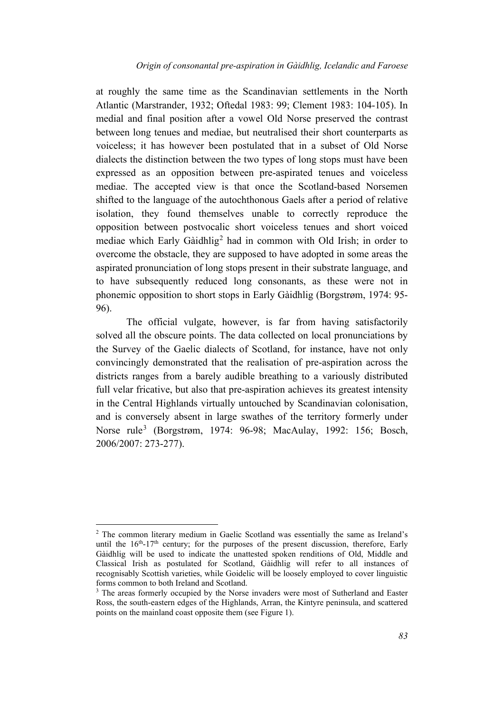at roughly the same time as the Scandinavian settlements in the North Atlantic (Marstrander, 1932; Oftedal 1983: 99; Clement 1983: 104-105). In medial and final position after a vowel Old Norse preserved the contrast between long tenues and mediae, but neutralised their short counterparts as voiceless; it has however been postulated that in a subset of Old Norse dialects the distinction between the two types of long stops must have been expressed as an opposition between pre-aspirated tenues and voiceless mediae. The accepted view is that once the Scotland-based Norsemen shifted to the language of the autochthonous Gaels after a period of relative isolation, they found themselves unable to correctly reproduce the opposition between postvocalic short voiceless tenues and short voiced mediae which Early Gàidhlig<sup>[2](#page-1-0)</sup> had in common with Old Irish; in order to overcome the obstacle, they are supposed to have adopted in some areas the aspirated pronunciation of long stops present in their substrate language, and to have subsequently reduced long consonants, as these were not in phonemic opposition to short stops in Early Gàidhlig (Borgstrøm, 1974: 95- 96).

The official vulgate, however, is far from having satisfactorily solved all the obscure points. The data collected on local pronunciations by the Survey of the Gaelic dialects of Scotland, for instance, have not only convincingly demonstrated that the realisation of pre-aspiration across the districts ranges from a barely audible breathing to a variously distributed full velar fricative, but also that pre-aspiration achieves its greatest intensity in the Central Highlands virtually untouched by Scandinavian colonisation, and is conversely absent in large swathes of the territory formerly under Norse rule<sup>[3](#page-1-1)</sup> (Borgstrøm, 1974: 96-98; MacAulay, 1992: 156; Bosch, 2006/2007: 273-277).

<span id="page-1-0"></span><sup>2</sup> The common literary medium in Gaelic Scotland was essentially the same as Ireland's until the  $16<sup>th</sup>$ -17<sup>th</sup> century; for the purposes of the present discussion, therefore, Early Gàidhlig will be used to indicate the unattested spoken renditions of Old, Middle and Classical Irish as postulated for Scotland, Gàidhlig will refer to all instances of recognisably Scottish varieties, while Goidelic will be loosely employed to cover linguistic forms common to both Ireland and Scotland.

<span id="page-1-1"></span><sup>&</sup>lt;sup>3</sup> The areas formerly occupied by the Norse invaders were most of Sutherland and Easter Ross, the south-eastern edges of the Highlands, Arran, the Kintyre peninsula, and scattered points on the mainland coast opposite them (see Figure 1).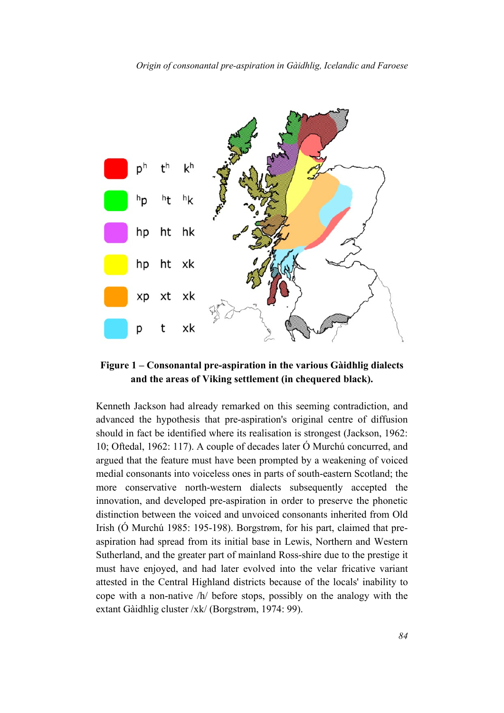

**Figure 1 – Consonantal pre-aspiration in the various Gàidhlig dialects and the areas of Viking settlement (in chequered black).**

Kenneth Jackson had already remarked on this seeming contradiction, and advanced the hypothesis that pre-aspiration's original centre of diffusion should in fact be identified where its realisation is strongest (Jackson, 1962: 10; Oftedal, 1962: 117). A couple of decades later Ó Murchú concurred, and argued that the feature must have been prompted by a weakening of voiced medial consonants into voiceless ones in parts of south-eastern Scotland; the more conservative north-western dialects subsequently accepted the innovation, and developed pre-aspiration in order to preserve the phonetic distinction between the voiced and unvoiced consonants inherited from Old Irish (Ó Murchú 1985: 195-198). Borgstrøm, for his part, claimed that preaspiration had spread from its initial base in Lewis, Northern and Western Sutherland, and the greater part of mainland Ross-shire due to the prestige it must have enjoyed, and had later evolved into the velar fricative variant attested in the Central Highland districts because of the locals' inability to cope with a non-native /h/ before stops, possibly on the analogy with the extant Gàidhlig cluster /xk/ (Borgstrøm, 1974: 99).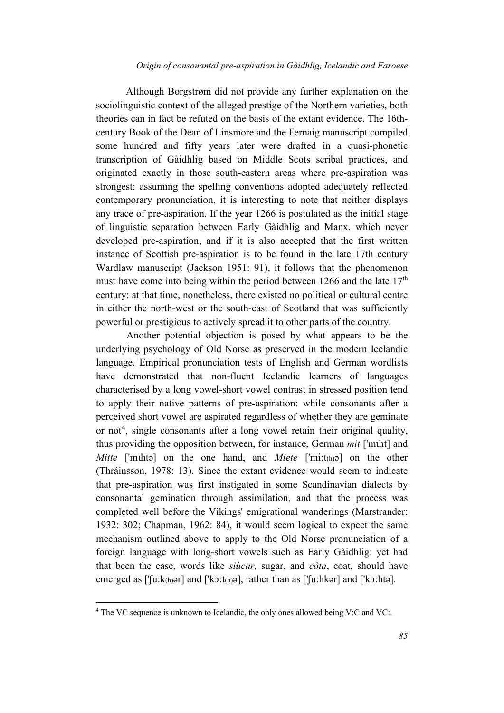Although Borgstrøm did not provide any further explanation on the sociolinguistic context of the alleged prestige of the Northern varieties, both theories can in fact be refuted on the basis of the extant evidence. The 16thcentury Book of the Dean of Linsmore and the Fernaig manuscript compiled some hundred and fifty years later were drafted in a quasi-phonetic transcription of Gàidhlig based on Middle Scots scribal practices, and originated exactly in those south-eastern areas where pre-aspiration was strongest: assuming the spelling conventions adopted adequately reflected contemporary pronunciation, it is interesting to note that neither displays any trace of pre-aspiration. If the year 1266 is postulated as the initial stage of linguistic separation between Early Gàidhlig and Manx, which never developed pre-aspiration, and if it is also accepted that the first written instance of Scottish pre-aspiration is to be found in the late 17th century Wardlaw manuscript (Jackson 1951: 91), it follows that the phenomenon must have come into being within the period between 1266 and the late  $17<sup>th</sup>$ century: at that time, nonetheless, there existed no political or cultural centre in either the north-west or the south-east of Scotland that was sufficiently powerful or prestigious to actively spread it to other parts of the country.

Another potential objection is posed by what appears to be the underlying psychology of Old Norse as preserved in the modern Icelandic language. Empirical pronunciation tests of English and German wordlists have demonstrated that non-fluent Icelandic learners of languages characterised by a long vowel-short vowel contrast in stressed position tend to apply their native patterns of pre-aspiration: while consonants after a perceived short vowel are aspirated regardless of whether they are geminate or not<sup>[4](#page-3-0)</sup>, single consonants after a long vowel retain their original quality, thus providing the opposition between, for instance, German *mit* ['mɩht] and *Mitte* ['muhta] on the one hand, and *Miete* ['mi:t<sub>(h)</sub>a] on the other (Thráinsson, 1978: 13). Since the extant evidence would seem to indicate that pre-aspiration was first instigated in some Scandinavian dialects by consonantal gemination through assimilation, and that the process was completed well before the Vikings' emigrational wanderings (Marstrander: 1932: 302; Chapman, 1962: 84), it would seem logical to expect the same mechanism outlined above to apply to the Old Norse pronunciation of a foreign language with long-short vowels such as Early Gàidhlig: yet had that been the case, words like *siùcar,* sugar, and *còta*, coat, should have emerged as ['[u:k<sub>(h)</sub>ər] and ['kɔ:t(h)ə], rather than as ['[u:hkər] and ['kɔ:htə].

<span id="page-3-0"></span><sup>&</sup>lt;sup>4</sup> The VC sequence is unknown to Icelandic, the only ones allowed being V:C and VC:.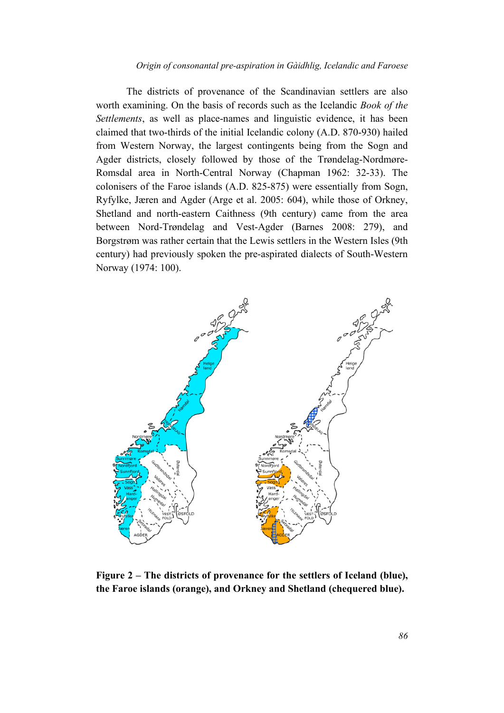The districts of provenance of the Scandinavian settlers are also worth examining. On the basis of records such as the Icelandic *Book of the Settlements*, as well as place-names and linguistic evidence, it has been claimed that two-thirds of the initial Icelandic colony (A.D. 870-930) hailed from Western Norway, the largest contingents being from the Sogn and Agder districts, closely followed by those of the Trøndelag-Nordmøre-Romsdal area in North-Central Norway (Chapman 1962: 32-33). The colonisers of the Faroe islands (A.D. 825-875) were essentially from Sogn, Ryfylke, Jæren and Agder (Arge et al. 2005: 604), while those of Orkney, Shetland and north-eastern Caithness (9th century) came from the area between Nord-Trøndelag and Vest-Agder (Barnes 2008: 279), and Borgstrøm was rather certain that the Lewis settlers in the Western Isles (9th century) had previously spoken the pre-aspirated dialects of South-Western Norway (1974: 100).



**Figure 2 – The districts of provenance for the settlers of Iceland (blue), the Faroe islands (orange), and Orkney and Shetland (chequered blue).**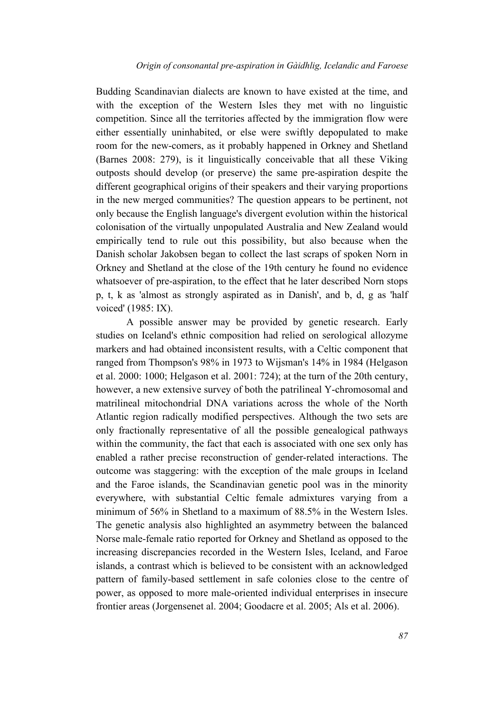Budding Scandinavian dialects are known to have existed at the time, and with the exception of the Western Isles they met with no linguistic competition. Since all the territories affected by the immigration flow were either essentially uninhabited, or else were swiftly depopulated to make room for the new-comers, as it probably happened in Orkney and Shetland (Barnes 2008: 279), is it linguistically conceivable that all these Viking outposts should develop (or preserve) the same pre-aspiration despite the different geographical origins of their speakers and their varying proportions in the new merged communities? The question appears to be pertinent, not only because the English language's divergent evolution within the historical colonisation of the virtually unpopulated Australia and New Zealand would empirically tend to rule out this possibility, but also because when the Danish scholar Jakobsen began to collect the last scraps of spoken Norn in Orkney and Shetland at the close of the 19th century he found no evidence whatsoever of pre-aspiration, to the effect that he later described Norn stops p, t, k as 'almost as strongly aspirated as in Danish', and b, d, g as 'half voiced' (1985: IX).

A possible answer may be provided by genetic research. Early studies on Iceland's ethnic composition had relied on serological allozyme markers and had obtained inconsistent results, with a Celtic component that ranged from Thompson's 98% in 1973 to Wijsman's 14% in 1984 (Helgason et al. 2000: 1000; Helgason et al. 2001: 724); at the turn of the 20th century, however, a new extensive survey of both the patrilineal Y-chromosomal and matrilineal mitochondrial DNA variations across the whole of the North Atlantic region radically modified perspectives. Although the two sets are only fractionally representative of all the possible genealogical pathways within the community, the fact that each is associated with one sex only has enabled a rather precise reconstruction of gender-related interactions. The outcome was staggering: with the exception of the male groups in Iceland and the Faroe islands, the Scandinavian genetic pool was in the minority everywhere, with substantial Celtic female admixtures varying from a minimum of 56% in Shetland to a maximum of 88.5% in the Western Isles. The genetic analysis also highlighted an asymmetry between the balanced Norse male-female ratio reported for Orkney and Shetland as opposed to the increasing discrepancies recorded in the Western Isles, Iceland, and Faroe islands, a contrast which is believed to be consistent with an acknowledged pattern of family-based settlement in safe colonies close to the centre of power, as opposed to more male-oriented individual enterprises in insecure frontier areas (Jorgensenet al. 2004; Goodacre et al. 2005; Als et al. 2006).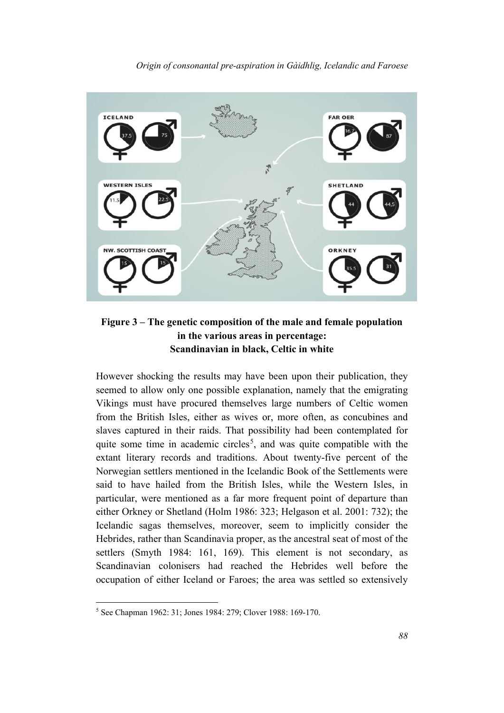

# **Figure 3 – The genetic composition of the male and female population in the various areas in percentage:**

**Scandinavian in black, Celtic in white**

However shocking the results may have been upon their publication, they seemed to allow only one possible explanation, namely that the emigrating Vikings must have procured themselves large numbers of Celtic women from the British Isles, either as wives or, more often, as concubines and slaves captured in their raids. That possibility had been contemplated for quite some time in academic circles<sup>[5](#page-6-0)</sup>, and was quite compatible with the extant literary records and traditions. About twenty-five percent of the Norwegian settlers mentioned in the Icelandic Book of the Settlements were said to have hailed from the British Isles, while the Western Isles, in particular, were mentioned as a far more frequent point of departure than either Orkney or Shetland (Holm 1986: 323; Helgason et al. 2001: 732); the Icelandic sagas themselves, moreover, seem to implicitly consider the Hebrides, rather than Scandinavia proper, as the ancestral seat of most of the settlers (Smyth 1984: 161, 169). This element is not secondary, as Scandinavian colonisers had reached the Hebrides well before the occupation of either Iceland or Faroes; the area was settled so extensively

<span id="page-6-0"></span><sup>5</sup> See Chapman 1962: 31; Jones 1984: 279; Clover 1988: 169-170.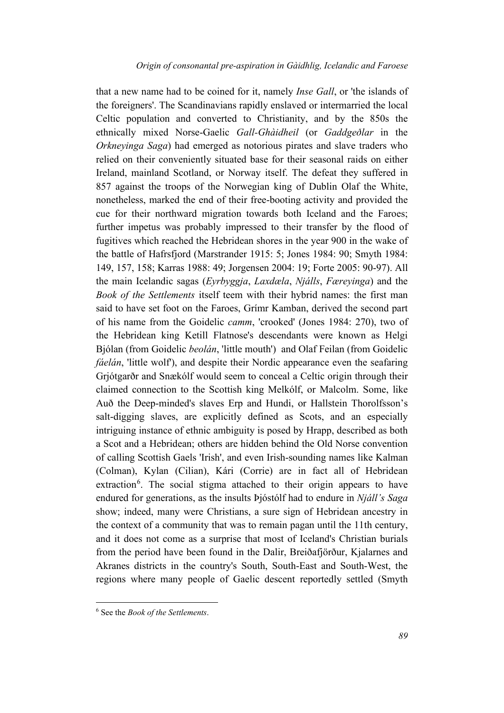that a new name had to be coined for it, namely *Inse Gall*, or 'the islands of the foreigners'. The Scandinavians rapidly enslaved or intermarried the local Celtic population and converted to Christianity, and by the 850s the ethnically mixed Norse-Gaelic *Gall-Ghàidheil* (or *Gaddgeðlar* in the *Orkneyinga Saga*) had emerged as notorious pirates and slave traders who relied on their conveniently situated base for their seasonal raids on either Ireland, mainland Scotland, or Norway itself. The defeat they suffered in 857 against the troops of the Norwegian king of Dublin Olaf the White, nonetheless, marked the end of their free-booting activity and provided the cue for their northward migration towards both Iceland and the Faroes; further impetus was probably impressed to their transfer by the flood of fugitives which reached the Hebridean shores in the year 900 in the wake of the battle of Hafrsfjord (Marstrander 1915: 5; Jones 1984: 90; Smyth 1984: 149, 157, 158; Karras 1988: 49; Jorgensen 2004: 19; Forte 2005: 90-97). All the main Icelandic sagas (*Eyrbyggja*, *Laxdæla*, *Njálls*, *Færeyinga*) and the *Book of the Settlements* itself teem with their hybrid names: the first man said to have set foot on the Faroes, Grímr Kamban, derived the second part of his name from the Goidelic *camm*, 'crooked' (Jones 1984: 270), two of the Hebridean king Ketill Flatnose's descendants were known as Helgi Bjólan (from Goidelic *beolán*, 'little mouth') and Olaf Feilan (from Goidelic *fáelán*, 'little wolf'), and despite their Nordic appearance even the seafaring Grjótgarðr and Snækólf would seem to conceal a Celtic origin through their claimed connection to the Scottish king Melkólf, or Malcolm. Some, like Auð the Deep-minded's slaves Erp and Hundi, or Hallstein Thorolfsson's salt-digging slaves, are explicitly defined as Scots, and an especially intriguing instance of ethnic ambiguity is posed by Hrapp, described as both a Scot and a Hebridean; others are hidden behind the Old Norse convention of calling Scottish Gaels 'Irish', and even Irish-sounding names like Kalman (Colman), Kylan (Cilian), Kári (Corrie) are in fact all of Hebridean extraction<sup>[6](#page-7-0)</sup>. The social stigma attached to their origin appears to have endured for generations, as the insults Þjóstólf had to endure in *Njáll's Saga* show; indeed, many were Christians, a sure sign of Hebridean ancestry in the context of a community that was to remain pagan until the 11th century, and it does not come as a surprise that most of Iceland's Christian burials from the period have been found in the Dalir, Breiðafjörður, Kjalarnes and Akranes districts in the country's South, South-East and South-West, the regions where many people of Gaelic descent reportedly settled (Smyth

<span id="page-7-0"></span><sup>6</sup> See the *Book of the Settlements*.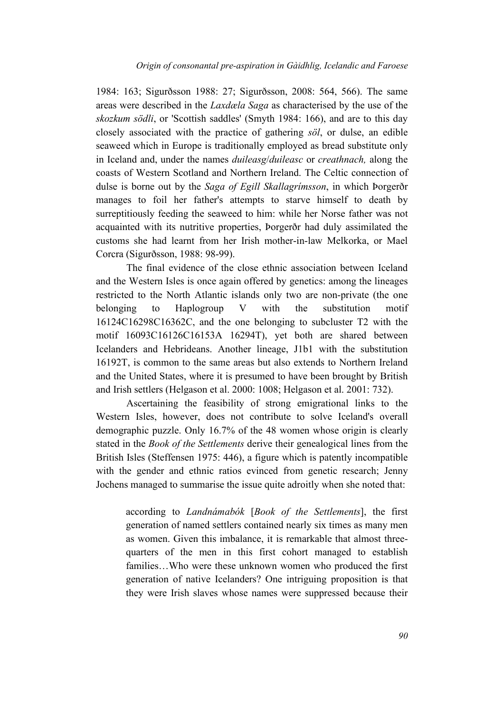1984: 163; Sigurðsson 1988: 27; Sigurðsson, 2008: 564, 566). The same areas were described in the *Laxdæla Saga* as characterised by the use of the *skozkum södli*, or 'Scottish saddles' (Smyth 1984: 166), and are to this day closely associated with the practice of gathering *söl*, or dulse, an edible seaweed which in Europe is traditionally employed as bread substitute only in Iceland and, under the names *duileasg*/*duileasc* or *creathnach,* along the coasts of Western Scotland and Northern Ireland. The Celtic connection of dulse is borne out by the *Saga of Egill Skallagrímsson*, in which Þorgerðr manages to foil her father's attempts to starve himself to death by surreptitiously feeding the seaweed to him: while her Norse father was not acquainted with its nutritive properties, Þorgerðr had duly assimilated the customs she had learnt from her Irish mother-in-law Melkorka, or Mael Corcra (Sigurðsson, 1988: 98-99).

The final evidence of the close ethnic association between Iceland and the Western Isles is once again offered by genetics: among the lineages restricted to the North Atlantic islands only two are non-private (the one belonging to Haplogroup V with the substitution motif 16124C16298C16362C, and the one belonging to subcluster T2 with the motif 16093C16126C16153A 16294T), yet both are shared between Icelanders and Hebrideans. Another lineage, J1b1 with the substitution 16192T, is common to the same areas but also extends to Northern Ireland and the United States, where it is presumed to have been brought by British and Irish settlers (Helgason et al. 2000: 1008; Helgason et al. 2001: 732).

Ascertaining the feasibility of strong emigrational links to the Western Isles, however, does not contribute to solve Iceland's overall demographic puzzle. Only 16.7% of the 48 women whose origin is clearly stated in the *Book of the Settlements* derive their genealogical lines from the British Isles (Steffensen 1975: 446), a figure which is patently incompatible with the gender and ethnic ratios evinced from genetic research; Jenny Jochens managed to summarise the issue quite adroitly when she noted that:

according to *Landnámabók* [*Book of the Settlements*], the first generation of named settlers contained nearly six times as many men as women. Given this imbalance, it is remarkable that almost threequarters of the men in this first cohort managed to establish families…Who were these unknown women who produced the first generation of native Icelanders? One intriguing proposition is that they were Irish slaves whose names were suppressed because their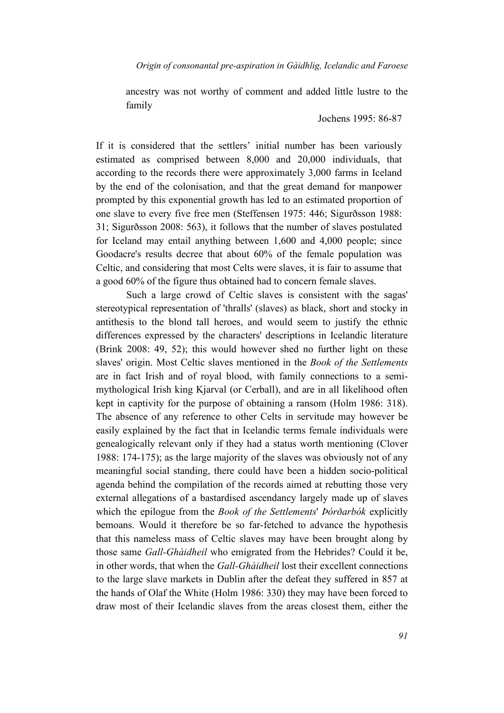ancestry was not worthy of comment and added little lustre to the family

Jochens 1995: 86-87

If it is considered that the settlers' initial number has been variously estimated as comprised between 8,000 and 20,000 individuals, that according to the records there were approximately 3,000 farms in Iceland by the end of the colonisation, and that the great demand for manpower prompted by this exponential growth has led to an estimated proportion of one slave to every five free men (Steffensen 1975: 446; Sigurðsson 1988: 31; Sigurðsson 2008: 563), it follows that the number of slaves postulated for Iceland may entail anything between 1,600 and 4,000 people; since Goodacre's results decree that about 60% of the female population was Celtic, and considering that most Celts were slaves, it is fair to assume that a good 60% of the figure thus obtained had to concern female slaves.

Such a large crowd of Celtic slaves is consistent with the sagas' stereotypical representation of 'thralls' (slaves) as black, short and stocky in antithesis to the blond tall heroes, and would seem to justify the ethnic differences expressed by the characters' descriptions in Icelandic literature (Brink 2008: 49, 52); this would however shed no further light on these slaves' origin. Most Celtic slaves mentioned in the *Book of the Settlements* are in fact Irish and of royal blood, with family connections to a semimythological Irish king Kjarval (or Cerball), and are in all likelihood often kept in captivity for the purpose of obtaining a ransom (Holm 1986: 318). The absence of any reference to other Celts in servitude may however be easily explained by the fact that in Icelandic terms female individuals were genealogically relevant only if they had a status worth mentioning (Clover 1988: 174-175); as the large majority of the slaves was obviously not of any meaningful social standing, there could have been a hidden socio-political agenda behind the compilation of the records aimed at rebutting those very external allegations of a bastardised ascendancy largely made up of slaves which the epilogue from the *Book of the Settlements*' *Þórðarbók* explicitly bemoans. Would it therefore be so far-fetched to advance the hypothesis that this nameless mass of Celtic slaves may have been brought along by those same *Gall-Ghàidheil* who emigrated from the Hebrides? Could it be, in other words, that when the *Gall-Ghàidheil* lost their excellent connections to the large slave markets in Dublin after the defeat they suffered in 857 at the hands of Olaf the White (Holm 1986: 330) they may have been forced to draw most of their Icelandic slaves from the areas closest them, either the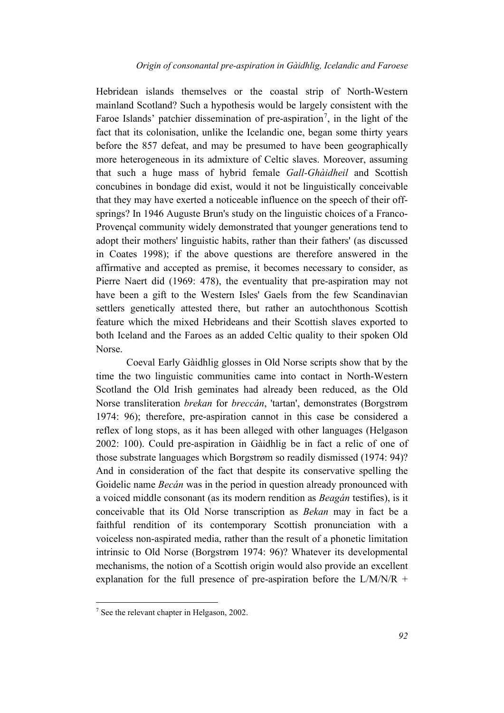Hebridean islands themselves or the coastal strip of North-Western mainland Scotland? Such a hypothesis would be largely consistent with the Faroe Islands' patchier dissemination of pre-aspiration<sup>[7](#page-10-0)</sup>, in the light of the fact that its colonisation, unlike the Icelandic one, began some thirty years before the 857 defeat, and may be presumed to have been geographically more heterogeneous in its admixture of Celtic slaves. Moreover, assuming that such a huge mass of hybrid female *Gall-Ghàidheil* and Scottish concubines in bondage did exist, would it not be linguistically conceivable that they may have exerted a noticeable influence on the speech of their offsprings? In 1946 Auguste Brun's study on the linguistic choices of a Franco-Provençal community widely demonstrated that younger generations tend to adopt their mothers' linguistic habits, rather than their fathers' (as discussed in Coates 1998); if the above questions are therefore answered in the affirmative and accepted as premise, it becomes necessary to consider, as Pierre Naert did (1969: 478), the eventuality that pre-aspiration may not have been a gift to the Western Isles' Gaels from the few Scandinavian settlers genetically attested there, but rather an autochthonous Scottish feature which the mixed Hebrideans and their Scottish slaves exported to both Iceland and the Faroes as an added Celtic quality to their spoken Old Norse.

Coeval Early Gàidhlig glosses in Old Norse scripts show that by the time the two linguistic communities came into contact in North-Western Scotland the Old Irish geminates had already been reduced, as the Old Norse transliteration *brekan* for *breccán*, 'tartan', demonstrates (Borgstrøm 1974: 96); therefore, pre-aspiration cannot in this case be considered a reflex of long stops, as it has been alleged with other languages (Helgason 2002: 100). Could pre-aspiration in Gàidhlig be in fact a relic of one of those substrate languages which Borgstrøm so readily dismissed (1974: 94)? And in consideration of the fact that despite its conservative spelling the Goidelic name *Becán* was in the period in question already pronounced with a voiced middle consonant (as its modern rendition as *Beagán* testifies), is it conceivable that its Old Norse transcription as *Bekan* may in fact be a faithful rendition of its contemporary Scottish pronunciation with a voiceless non-aspirated media, rather than the result of a phonetic limitation intrinsic to Old Norse (Borgstrøm 1974: 96)? Whatever its developmental mechanisms, the notion of a Scottish origin would also provide an excellent explanation for the full presence of pre-aspiration before the  $L/M/N/R$  +

<span id="page-10-0"></span><sup>7</sup> See the relevant chapter in Helgason, 2002.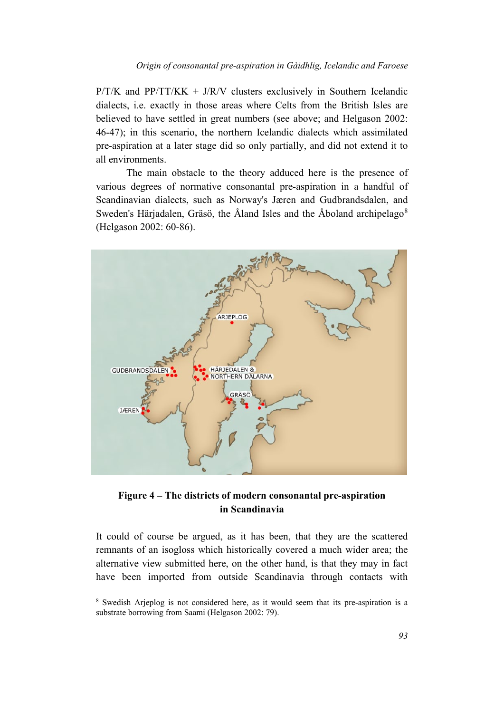$P/T/K$  and  $PP/TT/KK + J/R/V$  clusters exclusively in Southern Icelandic dialects, i.e. exactly in those areas where Celts from the British Isles are believed to have settled in great numbers (see above; and Helgason 2002: 46-47); in this scenario, the northern Icelandic dialects which assimilated pre-aspiration at a later stage did so only partially, and did not extend it to all environments.

The main obstacle to the theory adduced here is the presence of various degrees of normative consonantal pre-aspiration in a handful of Scandinavian dialects, such as Norway's Jæren and Gudbrandsdalen, and Sweden's Härjadalen, Gräsö, the Åland Isles and the Åboland archipelago<sup>[8](#page-11-0)</sup> (Helgason 2002: 60-86).



**Figure 4 – The districts of modern consonantal pre-aspiration in Scandinavia**

It could of course be argued, as it has been, that they are the scattered remnants of an isogloss which historically covered a much wider area; the alternative view submitted here, on the other hand, is that they may in fact have been imported from outside Scandinavia through contacts with

<span id="page-11-0"></span><sup>8</sup> Swedish Arjeplog is not considered here, as it would seem that its pre-aspiration is a substrate borrowing from Saami (Helgason 2002: 79).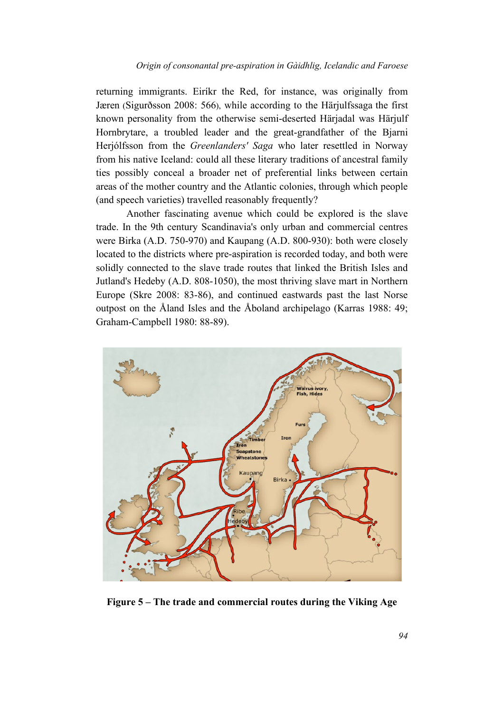returning immigrants. Eiríkr the Red, for instance, was originally from Jæren (Sigurðsson 2008: 566), while according to the Härjulfssaga the first known personality from the otherwise semi-deserted Härjadal was Härjulf Hornbrytare, a troubled leader and the great-grandfather of the Bjarni Herjólfsson from the *Greenlanders' Saga* who later resettled in Norway from his native Iceland: could all these literary traditions of ancestral family ties possibly conceal a broader net of preferential links between certain areas of the mother country and the Atlantic colonies, through which people (and speech varieties) travelled reasonably frequently?

Another fascinating avenue which could be explored is the slave trade. In the 9th century Scandinavia's only urban and commercial centres were Birka (A.D. 750-970) and Kaupang (A.D. 800-930): both were closely located to the districts where pre-aspiration is recorded today, and both were solidly connected to the slave trade routes that linked the British Isles and Jutland's Hedeby (A.D. 808-1050), the most thriving slave mart in Northern Europe (Skre 2008: 83-86), and continued eastwards past the last Norse outpost on the Åland Isles and the Åboland archipelago (Karras 1988: 49; Graham-Campbell 1980: 88-89).



**Figure 5 – The trade and commercial routes during the Viking Age**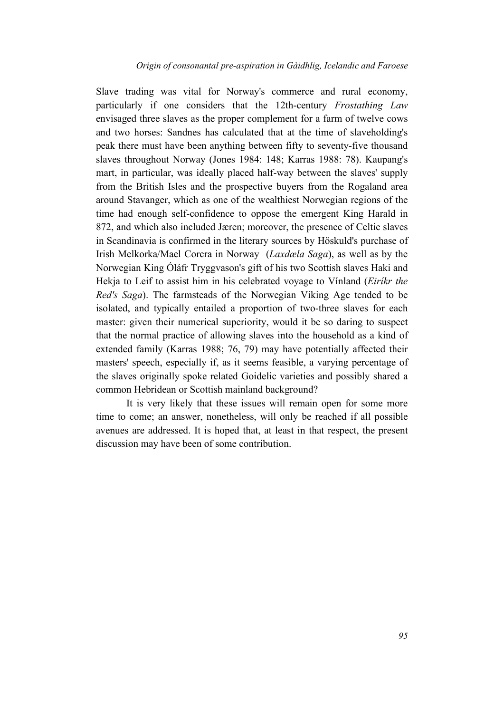Slave trading was vital for Norway's commerce and rural economy, particularly if one considers that the 12th-century *Frostathing Law* envisaged three slaves as the proper complement for a farm of twelve cows and two horses: Sandnes has calculated that at the time of slaveholding's peak there must have been anything between fifty to seventy-five thousand slaves throughout Norway (Jones 1984: 148; Karras 1988: 78). Kaupang's mart, in particular, was ideally placed half-way between the slaves' supply from the British Isles and the prospective buyers from the Rogaland area around Stavanger, which as one of the wealthiest Norwegian regions of the time had enough self-confidence to oppose the emergent King Harald in 872, and which also included Jæren; moreover, the presence of Celtic slaves in Scandinavia is confirmed in the literary sources by Höskuld's purchase of Irish Melkorka/Mael Corcra in Norway (*Laxdæla Saga*), as well as by the Norwegian King Óláfr Tryggvason's gift of his two Scottish slaves Haki and Hekja to Leif to assist him in his celebrated voyage to Vínland (*Eiríkr the Red's Saga*). The farmsteads of the Norwegian Viking Age tended to be isolated, and typically entailed a proportion of two-three slaves for each master: given their numerical superiority, would it be so daring to suspect that the normal practice of allowing slaves into the household as a kind of extended family (Karras 1988; 76, 79) may have potentially affected their masters' speech, especially if, as it seems feasible, a varying percentage of the slaves originally spoke related Goidelic varieties and possibly shared a common Hebridean or Scottish mainland background?

It is very likely that these issues will remain open for some more time to come; an answer, nonetheless, will only be reached if all possible avenues are addressed. It is hoped that, at least in that respect, the present discussion may have been of some contribution.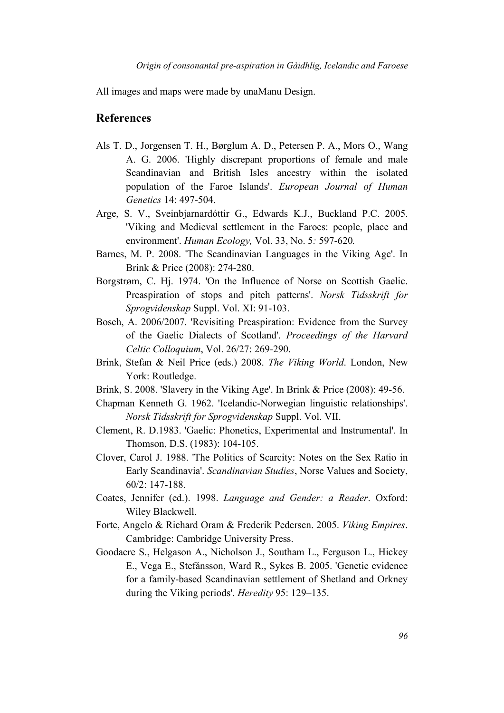All images and maps were made by unaManu Design.

### **References**

- Als T. D., Jorgensen T. H., Børglum A. D., Petersen P. A., Mors O., Wang A. G. 2006. 'Highly discrepant proportions of female and male Scandinavian and British Isles ancestry within the isolated population of the Faroe Islands'. *European Journal of Human Genetics* 14: 497-504.
- Arge, S. V., Sveinbjarnardóttir G., Edwards K.J., Buckland P.C. 2005. 'Viking and Medieval settlement in the Faroes: people, place and environment'. *Human Ecology,* Vol. 33, No. 5*:* 597-620*.*
- Barnes, M. P. 2008. 'The Scandinavian Languages in the Viking Age'. In Brink & Price (2008): 274-280.
- Borgstrøm, C. Hj. 1974. 'On the Influence of Norse on Scottish Gaelic. Preaspiration of stops and pitch patterns'. *Norsk Tidsskrift for Sprogvidenskap* Suppl. Vol. XI: 91-103.
- Bosch, A. 2006/2007. 'Revisiting Preaspiration: Evidence from the Survey of the Gaelic Dialects of Scotland'. *Proceedings of the Harvard Celtic Colloquium*, Vol. 26/27: 269-290.
- Brink, Stefan & Neil Price (eds.) 2008. *The Viking World*. London, New York: Routledge.
- Brink, S. 2008. 'Slavery in the Viking Age'. In Brink & Price (2008): 49-56.
- Chapman Kenneth G. 1962. 'Icelandic-Norwegian linguistic relationships'. *Norsk Tidsskrift for Sprogvidenskap* Suppl. Vol. VII.
- Clement, R. D.1983. 'Gaelic: Phonetics, Experimental and Instrumental'. In Thomson, D.S. (1983): 104-105.
- Clover, Carol J. 1988. 'The Politics of Scarcity: Notes on the Sex Ratio in Early Scandinavia'. *Scandinavian Studies*, Norse Values and Society, 60/2: 147-188.
- Coates, Jennifer (ed.). 1998. *Language and Gender: a Reader*. Oxford: Wiley Blackwell.
- Forte, Angelo & Richard Oram & Frederik Pedersen. 2005. *Viking Empires*. Cambridge: Cambridge University Press.
- Goodacre S., Helgason A., Nicholson J., Southam L., Ferguson L., Hickey E., Vega E., Stefánsson, Ward R., Sykes B. 2005. 'Genetic evidence for a family-based Scandinavian settlement of Shetland and Orkney during the Viking periods'. *Heredity* 95: 129–135.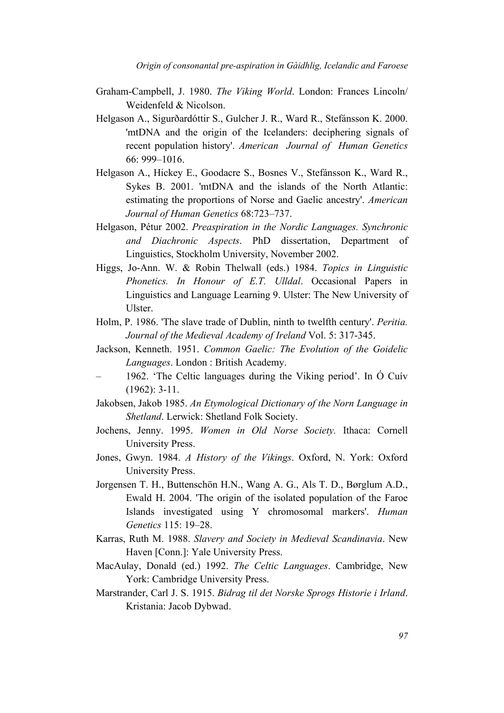- Graham-Campbell, J. 1980. *The Viking World*. London: Frances Lincoln/ Weidenfeld & Nicolson.
- Helgason A., Sigurðardóttir S., Gulcher J. R., Ward R., Stefánsson K. 2000. 'mtDNA and the origin of the Icelanders: deciphering signals of recent population history'. *American Journal of Human Genetics* 66: 999–1016.
- Helgason A., Hickey E., Goodacre S., Bosnes V., Stefánsson K., Ward R., Sykes B. 2001. 'mtDNA and the islands of the North Atlantic: estimating the proportions of Norse and Gaelic ancestry'. *American Journal of Human Genetics* 68:723–737.
- Helgason, Pétur 2002. *Preaspiration in the Nordic Languages. Synchronic and Diachronic Aspects*. PhD dissertation, Department of Linguistics, Stockholm University, November 2002.
- Higgs, Jo-Ann. W. & Robin Thelwall (eds.) 1984. *Topics in Linguistic Phonetics. In Honour of E.T. Ulldal*. Occasional Papers in Linguistics and Language Learning 9. Ulster: The New University of Ulster.
- Holm, P. 1986. 'The slave trade of Dublin, ninth to twelfth century'. *Peritia. Journal of the Medieval Academy of Ireland* Vol. 5: 317-345.
- Jackson, Kenneth. 1951. *Common Gaelic: The Evolution of the Goidelic Languages*. London : British Academy.
- 1962. 'The Celtic languages during the Viking period'. In Ó Cuív (1962): 3-11.
- Jakobsen, Jakob 1985. *An Etymological Dictionary of the Norn Language in Shetland*. Lerwick: Shetland Folk Society.
- Jochens, Jenny. 1995. *Women in Old Norse Society.* Ithaca: Cornell University Press.
- Jones, Gwyn. 1984. *A History of the Vikings*. Oxford, N. York: Oxford University Press.
- Jorgensen T. H., Buttenschön H.N., Wang A. G., Als T. D., Børglum A.D., Ewald H. 2004. 'The origin of the isolated population of the Faroe Islands investigated using Y chromosomal markers'. *Human Genetics* 115: 19–28.
- Karras, Ruth M. 1988. *Slavery and Society in Medieval Scandinavia*. New Haven [Conn.]: Yale University Press.
- MacAulay, Donald (ed.) 1992. *The Celtic Languages*. Cambridge, New York: Cambridge University Press.
- Marstrander, Carl J. S. 1915. *Bidrag til det Norske Sprogs Historie i Irland*. Kristania: Jacob Dybwad.